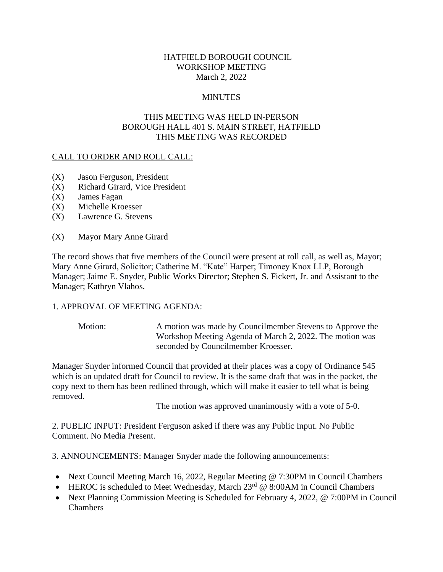## HATFIELD BOROUGH COUNCIL WORKSHOP MEETING March 2, 2022

## **MINUTES**

## THIS MEETING WAS HELD IN-PERSON BOROUGH HALL 401 S. MAIN STREET, HATFIELD THIS MEETING WAS RECORDED

### CALL TO ORDER AND ROLL CALL:

- (X) Jason Ferguson, President
- (X) Richard Girard, Vice President
- (X) James Fagan
- (X) Michelle Kroesser
- (X) Lawrence G. Stevens
- (X) Mayor Mary Anne Girard

The record shows that five members of the Council were present at roll call, as well as, Mayor; Mary Anne Girard, Solicitor; Catherine M. "Kate" Harper; Timoney Knox LLP, Borough Manager; Jaime E. Snyder, Public Works Director; Stephen S. Fickert, Jr. and Assistant to the Manager; Kathryn Vlahos.

### 1. APPROVAL OF MEETING AGENDA:

Motion: A motion was made by Councilmember Stevens to Approve the Workshop Meeting Agenda of March 2, 2022. The motion was seconded by Councilmember Kroesser.

Manager Snyder informed Council that provided at their places was a copy of Ordinance 545 which is an updated draft for Council to review. It is the same draft that was in the packet, the copy next to them has been redlined through, which will make it easier to tell what is being removed.

The motion was approved unanimously with a vote of 5-0.

2. PUBLIC INPUT: President Ferguson asked if there was any Public Input. No Public Comment. No Media Present.

3. ANNOUNCEMENTS: Manager Snyder made the following announcements:

- Next Council Meeting March 16, 2022, Regular Meeting @ 7:30PM in Council Chambers
- HEROC is scheduled to Meet Wednesday, March  $23^{rd}$  @ 8:00AM in Council Chambers
- Next Planning Commission Meeting is Scheduled for February 4, 2022, @ 7:00PM in Council **Chambers**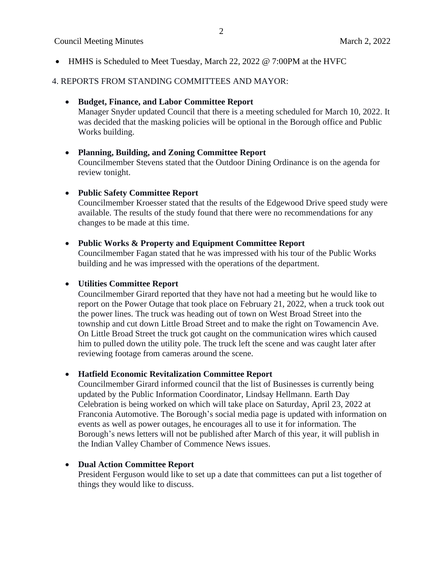## Council Meeting Minutes **March 2, 2022**

• HMHS is Scheduled to Meet Tuesday, March 22, 2022 @ 7:00PM at the HVFC

## 4. REPORTS FROM STANDING COMMITTEES AND MAYOR:

## • **Budget, Finance, and Labor Committee Report**

Manager Snyder updated Council that there is a meeting scheduled for March 10, 2022. It was decided that the masking policies will be optional in the Borough office and Public Works building.

## • **Planning, Building, and Zoning Committee Report**

Councilmember Stevens stated that the Outdoor Dining Ordinance is on the agenda for review tonight.

## • **Public Safety Committee Report**

Councilmember Kroesser stated that the results of the Edgewood Drive speed study were available. The results of the study found that there were no recommendations for any changes to be made at this time.

### • **Public Works & Property and Equipment Committee Report**

Councilmember Fagan stated that he was impressed with his tour of the Public Works building and he was impressed with the operations of the department.

## • **Utilities Committee Report**

Councilmember Girard reported that they have not had a meeting but he would like to report on the Power Outage that took place on February 21, 2022, when a truck took out the power lines. The truck was heading out of town on West Broad Street into the township and cut down Little Broad Street and to make the right on Towamencin Ave. On Little Broad Street the truck got caught on the communication wires which caused him to pulled down the utility pole. The truck left the scene and was caught later after reviewing footage from cameras around the scene.

# • **Hatfield Economic Revitalization Committee Report**

Councilmember Girard informed council that the list of Businesses is currently being updated by the Public Information Coordinator, Lindsay Hellmann. Earth Day Celebration is being worked on which will take place on Saturday, April 23, 2022 at Franconia Automotive. The Borough's social media page is updated with information on events as well as power outages, he encourages all to use it for information. The Borough's news letters will not be published after March of this year, it will publish in the Indian Valley Chamber of Commence News issues.

# • **Dual Action Committee Report**

President Ferguson would like to set up a date that committees can put a list together of things they would like to discuss.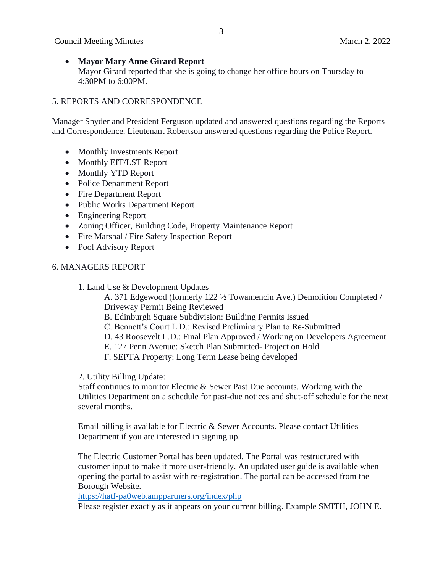• **Mayor Mary Anne Girard Report** Mayor Girard reported that she is going to change her office hours on Thursday to 4:30PM to 6:00PM.

## 5. REPORTS AND CORRESPONDENCE

Manager Snyder and President Ferguson updated and answered questions regarding the Reports and Correspondence. Lieutenant Robertson answered questions regarding the Police Report.

- Monthly Investments Report
- Monthly EIT/LST Report
- Monthly YTD Report
- Police Department Report
- Fire Department Report
- Public Works Department Report
- Engineering Report
- Zoning Officer, Building Code, Property Maintenance Report
- Fire Marshal / Fire Safety Inspection Report
- Pool Advisory Report

### 6. MANAGERS REPORT

1. Land Use & Development Updates

A. 371 Edgewood (formerly 122 ½ Towamencin Ave.) Demolition Completed / Driveway Permit Being Reviewed

- B. Edinburgh Square Subdivision: Building Permits Issued
- C. Bennett's Court L.D.: Revised Preliminary Plan to Re-Submitted
- D. 43 Roosevelt L.D.: Final Plan Approved / Working on Developers Agreement
- E. 127 Penn Avenue: Sketch Plan Submitted- Project on Hold
- F. SEPTA Property: Long Term Lease being developed

2. Utility Billing Update:

Staff continues to monitor Electric & Sewer Past Due accounts. Working with the Utilities Department on a schedule for past-due notices and shut-off schedule for the next several months.

Email billing is available for Electric & Sewer Accounts. Please contact Utilities Department if you are interested in signing up.

The Electric Customer Portal has been updated. The Portal was restructured with customer input to make it more user-friendly. An updated user guide is available when opening the portal to assist with re-registration. The portal can be accessed from the Borough Website.

<https://hatf-pa0web.amppartners.org/index/php>

Please register exactly as it appears on your current billing. Example SMITH, JOHN E.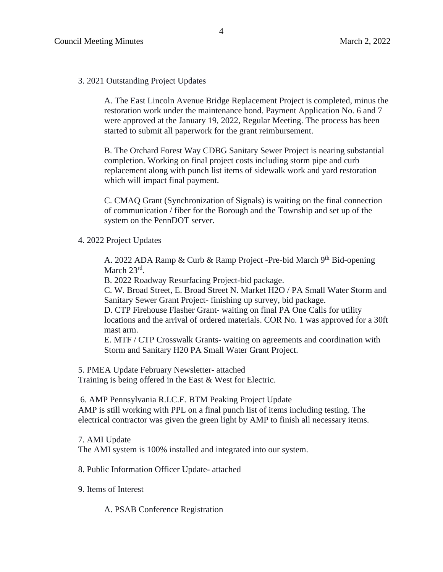#### 3. 2021 Outstanding Project Updates

A. The East Lincoln Avenue Bridge Replacement Project is completed, minus the restoration work under the maintenance bond. Payment Application No. 6 and 7 were approved at the January 19, 2022, Regular Meeting. The process has been started to submit all paperwork for the grant reimbursement.

B. The Orchard Forest Way CDBG Sanitary Sewer Project is nearing substantial completion. Working on final project costs including storm pipe and curb replacement along with punch list items of sidewalk work and yard restoration which will impact final payment.

C. CMAQ Grant (Synchronization of Signals) is waiting on the final connection of communication / fiber for the Borough and the Township and set up of the system on the PennDOT server.

4. 2022 Project Updates

A. 2022 ADA Ramp & Curb & Ramp Project -Pre-bid March 9<sup>th</sup> Bid-opening March 23<sup>rd</sup>.

B. 2022 Roadway Resurfacing Project-bid package.

C. W. Broad Street, E. Broad Street N. Market H2O / PA Small Water Storm and Sanitary Sewer Grant Project- finishing up survey, bid package.

D. CTP Firehouse Flasher Grant- waiting on final PA One Calls for utility locations and the arrival of ordered materials. COR No. 1 was approved for a 30ft mast arm.

E. MTF / CTP Crosswalk Grants- waiting on agreements and coordination with Storm and Sanitary H20 PA Small Water Grant Project.

5. PMEA Update February Newsletter- attached

Training is being offered in the East & West for Electric.

6. AMP Pennsylvania R.I.C.E. BTM Peaking Project Update

AMP is still working with PPL on a final punch list of items including testing. The electrical contractor was given the green light by AMP to finish all necessary items.

7. AMI Update

The AMI system is 100% installed and integrated into our system.

8. Public Information Officer Update- attached

9. Items of Interest

A. PSAB Conference Registration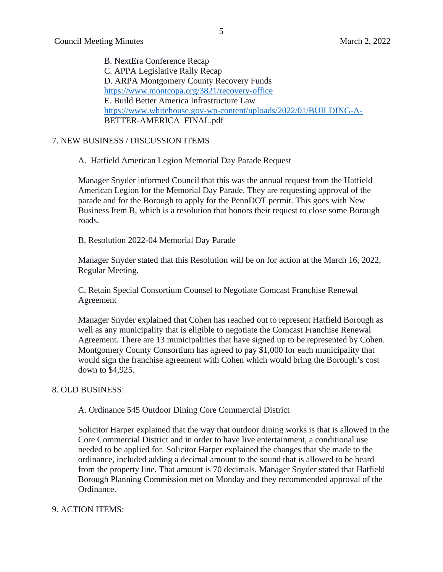B. NextEra Conference Recap C. APPA Legislative Rally Recap D. ARPA Montgomery County Recovery Funds <https://www.montcopa.org/3821/recovery-office> E. Build Better America Infrastructure Law <https://www.whitehouse.gov-wp-content/uploads/2022/01/BUILDING-A->BETTER-AMERICA\_FINAL.pdf

### 7. NEW BUSINESS / DISCUSSION ITEMS

A. Hatfield American Legion Memorial Day Parade Request

Manager Snyder informed Council that this was the annual request from the Hatfield American Legion for the Memorial Day Parade. They are requesting approval of the parade and for the Borough to apply for the PennDOT permit. This goes with New Business Item B, which is a resolution that honors their request to close some Borough roads.

B. Resolution 2022-04 Memorial Day Parade

Manager Snyder stated that this Resolution will be on for action at the March 16, 2022, Regular Meeting.

C. Retain Special Consortium Counsel to Negotiate Comcast Franchise Renewal Agreement

Manager Snyder explained that Cohen has reached out to represent Hatfield Borough as well as any municipality that is eligible to negotiate the Comcast Franchise Renewal Agreement. There are 13 municipalities that have signed up to be represented by Cohen. Montgomery County Consortium has agreed to pay \$1,000 for each municipality that would sign the franchise agreement with Cohen which would bring the Borough's cost down to \$4,925.

#### 8. OLD BUSINESS:

A. Ordinance 545 Outdoor Dining Core Commercial District

Solicitor Harper explained that the way that outdoor dining works is that is allowed in the Core Commercial District and in order to have live entertainment, a conditional use needed to be applied for. Solicitor Harper explained the changes that she made to the ordinance, included adding a decimal amount to the sound that is allowed to be heard from the property line. That amount is 70 decimals. Manager Snyder stated that Hatfield Borough Planning Commission met on Monday and they recommended approval of the Ordinance.

#### 9. ACTION ITEMS: